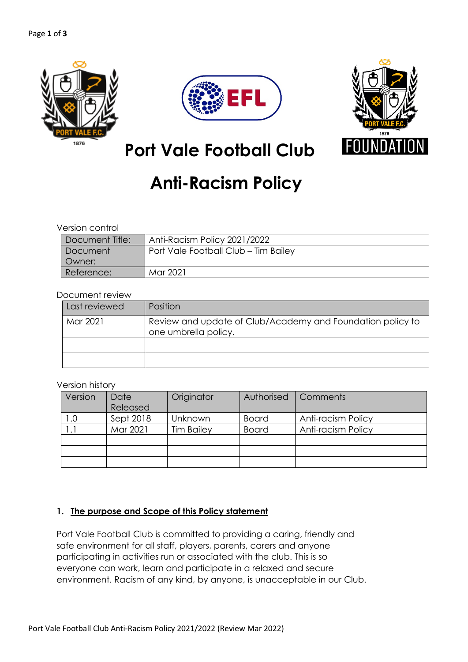





# **Port Vale Football Club**

# **Anti-Racism Policy**

### Version control

| Document Title: | Anti-Racism Policy 2021/2022         |  |  |  |
|-----------------|--------------------------------------|--|--|--|
| Document        | Port Vale Football Club - Tim Bailey |  |  |  |
| Owner:          |                                      |  |  |  |
| Reference:      | Mar 2021                             |  |  |  |

## Document review

| Last reviewed | Position                                                                           |
|---------------|------------------------------------------------------------------------------------|
| Mar 2021      | Review and update of Club/Academy and Foundation policy to<br>one umbrella policy. |
|               |                                                                                    |
|               |                                                                                    |

### Version history

| Version | Date      | Originator        | Authorised   | Comments                  |
|---------|-----------|-------------------|--------------|---------------------------|
|         | Released  |                   |              |                           |
| 0.0     | Sept 2018 | Unknown           | <b>Board</b> | Anti-racism Policy        |
|         | Mar 2021  | <b>Tim Bailey</b> | <b>Board</b> | <b>Anti-racism Policy</b> |
|         |           |                   |              |                           |
|         |           |                   |              |                           |
|         |           |                   |              |                           |

## **1. The purpose and Scope of this Policy statement**

Port Vale Football Club is committed to providing a caring, friendly and safe environment for all staff, players, parents, carers and anyone participating in activities run or associated with the club. This is so everyone can work, learn and participate in a relaxed and secure environment. Racism of any kind, by anyone, is unacceptable in our Club.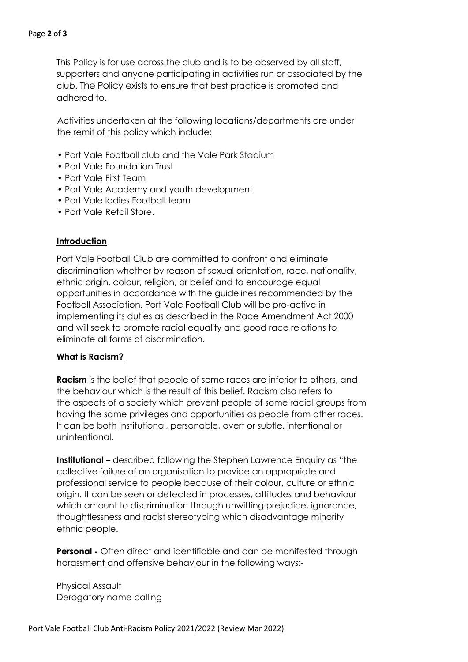This Policy is for use across the club and is to be observed by all staff, supporters and anyone participating in activities run or associated by the club. The Policy exists to ensure that best practice is promoted and adhered to.

Activities undertaken at the following locations/departments are under the remit of this policy which include:

- Port Vale Football club and the Vale Park Stadium
- Port Vale Foundation Trust
- Port Vale First Team
- Port Vale Academy and youth development
- Port Vale ladies Football team
- Port Vale Retail Store.

#### **Introduction**

Port Vale Football Club are committed to confront and eliminate discrimination whether by reason of sexual orientation, race, nationality, ethnic origin, colour, religion, or belief and to encourage equal opportunities in accordance with the guidelines recommended by the Football Association. Port Vale Football Club will be pro-active in implementing its duties as described in the Race Amendment Act 2000 and will seek to promote racial equality and good race relations to eliminate all forms of discrimination.

## **What is Racism?**

**Racism** is the belief that people of some races are inferior to others, and the behaviour which is the result of this belief. Racism also refers to the aspects of a society which prevent people of some racial groups from having the same privileges and opportunities as people from other races. It can be both Institutional, personable, overt or subtle, intentional or unintentional.

**Institutional –** described following the Stephen Lawrence Enquiry as "the collective failure of an organisation to provide an appropriate and professional service to people because of their colour, culture or ethnic origin. It can be seen or detected in processes, attitudes and behaviour which amount to discrimination through unwitting prejudice, ignorance, thoughtlessness and racist stereotyping which disadvantage minority ethnic people.

**Personal -** Often direct and identifiable and can be manifested through harassment and offensive behaviour in the following ways:-

Physical Assault Derogatory name calling